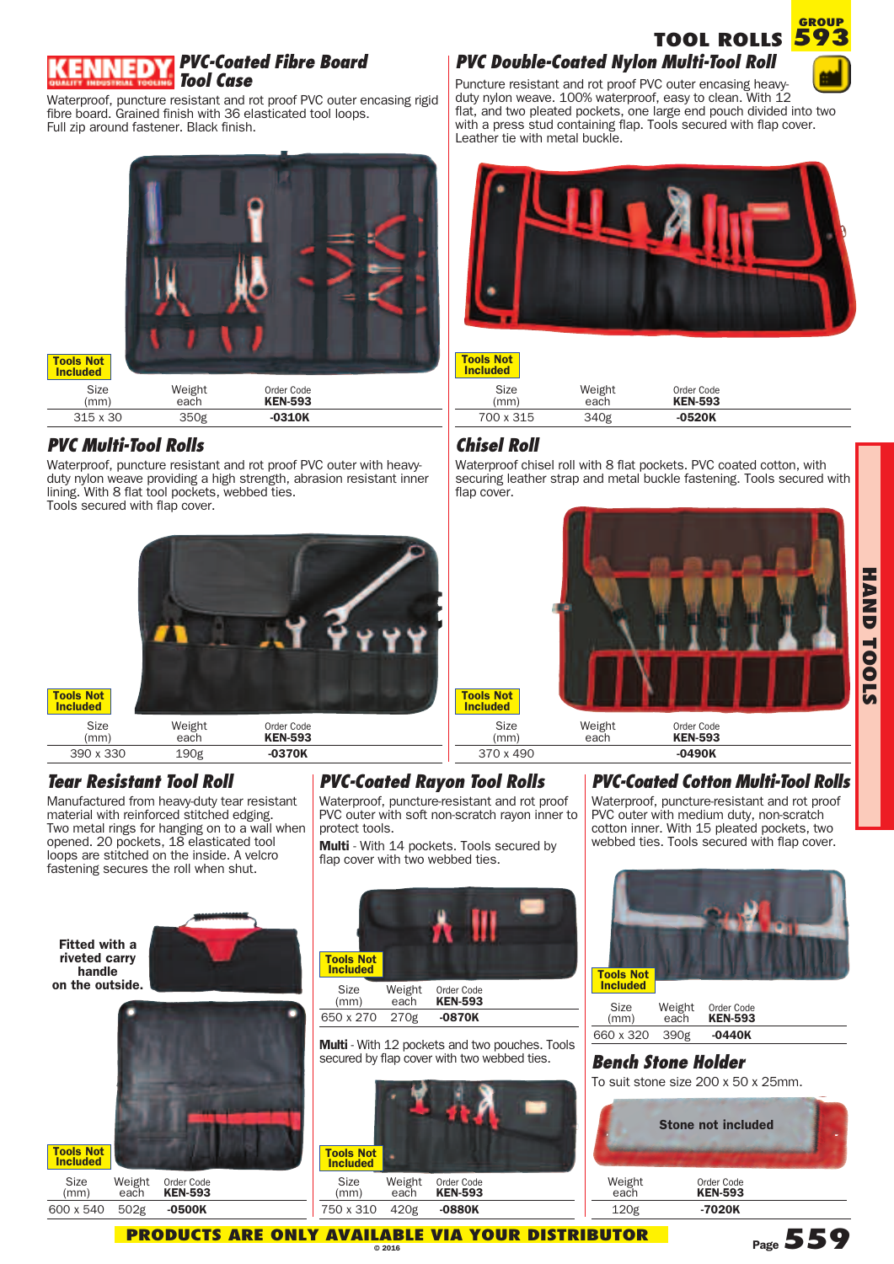

#### *PVC-Coated Fibre Board Tool Case*

Waterproof, puncture resistant and rot proof PVC outer encasing rigid fibre board. Grained finish with 36 elasticated tool loops. Full zip around fastener. Black finish.



# 315 x 30 350g **-0310K**

### *PVC Multi-Tool Rolls*

**Tools Not Included**

Waterproof, puncture resistant and rot proof PVC outer with heavyduty nylon weave providing a high strength, abrasion resistant inner lining. With 8 flat tool pockets, webbed ties. Tools secured with flap cover.



## *Tear Resistant Tool Roll*

Manufactured from heavy-duty tear resistant material with reinforced stitched edging. Two metal rings for hanging on to a wall when opened. 20 pockets, 18 elasticated tool loops are stitched on the inside. A velcro fastening secures the roll when shut.

## *PVC-Coated Rayon Tool Rolls*

Waterproof, puncture-resistant and rot proof PVC outer with soft non-scratch rayon inner to protect tools.

**Multi** - With 14 pockets. Tools secured by flap cover with two webbed ties.



**Tools Not Included**







**Multi** - With 12 pockets and two pouches. Tools secured by flap cover with two webbed ties.



## *PVC Double-Coated Nylon Multi-Tool Roll*





#### **Tools Not Included**

| Size<br>(mm) | Weight<br>each | Order Code<br><b>KEN-593</b> |  |
|--------------|----------------|------------------------------|--|
| 700 x 315    | 340g           | $-0520K$                     |  |

### *Chisel Roll*

Waterproof chisel roll with 8 flat pockets. PVC coated cotton, with securing leather strap and metal buckle fastening. Tools secured with flap cover.



370 x 490 **-0490K**

## *PVC-Coated Cotton Multi-Tool Rolls*

Waterproof, puncture-resistant and rot proof PVC outer with medium duty, non-scratch cotton inner. With 15 pleated pockets, two webbed ties. Tools secured with flap cover.



| Size<br>(mm)   | Weight<br>each | Order Code<br><b>KEN-593</b> |  |
|----------------|----------------|------------------------------|--|
| 660 x 320 390g |                | $-0440K$                     |  |

## *Bench Stone Holder*

To suit stone size 200 x 50 x 25mm.



**PRODUCTS ARE ONLY AVAIL A B LE VIA YOUR DISTRIBUTOR © 201 6**

**Page559**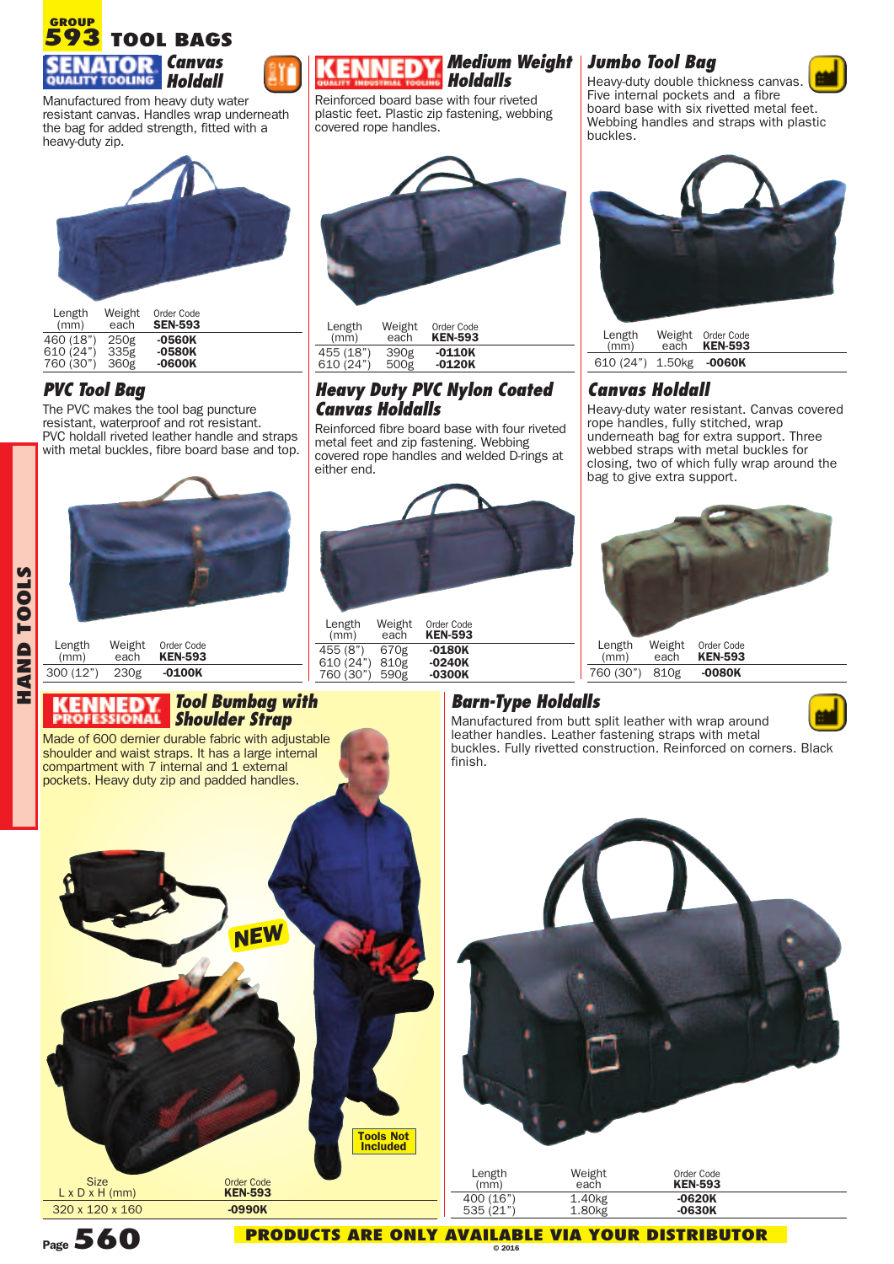

Manufactured from heavy duty water resistant canvas. Handles wrap underneath the bag for added strength, fitted with a heavy-duty zip.



| Length<br>(mm) | Weight<br>each | Order Code<br><b>SEN-593</b> |  |
|----------------|----------------|------------------------------|--|
| 460 (18")      | 250g           | -0560K                       |  |
| 610(24")       | 335g           | $-0580K$                     |  |
| 760 (30")      | 360g           | $-0600K$                     |  |

#### *PVC Tool Bag*

**HANDTOOLS** The PVC makes the tool bag puncture resistant, waterproof and rot resistant. PVC holdall riveted leather handle and straps with metal buckles, fibre board base and top.



| Length   | Weight | Order Code     |  |
|----------|--------|----------------|--|
| (mm)     | each   | <b>KEN-593</b> |  |
| 300(12") | 230g   | $-0100K$       |  |

#### *Tool Bumbag with Shoulder Strap*

Made of 600 dernier durable fabric with adjustable shoulder and waist straps. It has a large internal compartment with 7 internal and 1 external pockets. Heavy duty zip and padded handles.



#### *Medium Weight Holdalls*

Reinforced board base with four riveted plastic feet. Plastic zip fastening, webbing covered rope handles.



| Length    | Weight | Order Code     |  |
|-----------|--------|----------------|--|
| (mm)      | each   | <b>KEN-593</b> |  |
| 455 (18") | 390g   | -0110K         |  |
| 610 (24") | 500g   | $-0120K$       |  |

#### *Heavy Duty PVC Nylon Coated Canvas Holdalls*

Reinforced fibre board base with four riveted metal feet and zip fastening. Webbing covered rope handles and welded D-rings at either end.



| Length<br>(mm) | Weight<br>each | Order Code<br><b>KEN-593</b> |  |
|----------------|----------------|------------------------------|--|
| 455 (8")       | 670g           | $-0180K$                     |  |
| 610 (24")      | 810g           | $-0240K$                     |  |
| 760 (30") 590g |                | -0300K                       |  |

## *Jumbo Tool Bag*



Heavy-duty double thickness canvas. Five internal pockets and a fibre board base with six rivetted metal feet. Webbing handles and straps with plastic buckles.



| Length<br>(mm)          | Weight Order Code<br>each <b>KEN-593</b> |  |
|-------------------------|------------------------------------------|--|
| 610 (24") 1.50kg -0060K |                                          |  |

#### *Canvas Holdall*

Heavy-duty water resistant. Canvas covered rope handles, fully stitched, wrap underneath bag for extra support. Three webbed straps with metal buckles for closing, two of which fully wrap around the bag to give extra support.



#### *Barn-Type Holdalls*



Manufactured from butt split leather with wrap around leather handles. Leather fastening straps with metal buckles. Fully rivetted construction. Reinforced on corners. Black finish.



|   | Length<br>(mm) | Weight<br>each | Order Code<br><b>KEN-593</b> |  |
|---|----------------|----------------|------------------------------|--|
| - | 400 (16")      | 1.40kg         | $-0620K$                     |  |
|   | 535(21")       | 1.80kg         | $-0630K$                     |  |